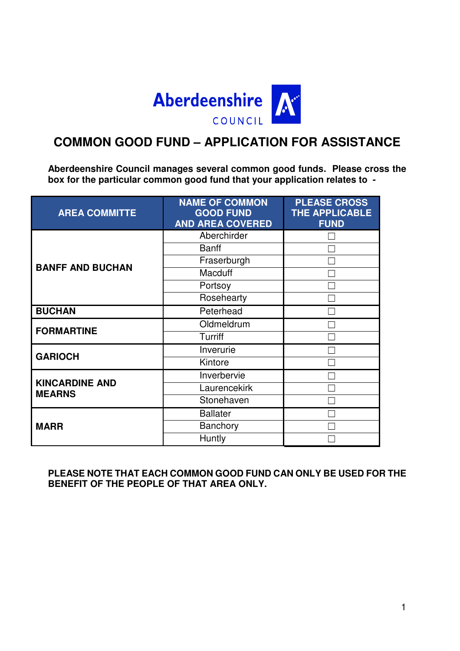

# **COMMON GOOD FUND – APPLICATION FOR ASSISTANCE**

**Aberdeenshire Council manages several common good funds. Please cross the box for the particular common good fund that your application relates to -** 

| <b>AREA COMMITTE</b>                   | <b>NAME OF COMMON</b><br><b>GOOD FUND</b><br><b>AND AREA COVERED</b> | <b>PLEASE CROSS</b><br><b>THE APPLICABLE</b><br><b>FUND</b> |
|----------------------------------------|----------------------------------------------------------------------|-------------------------------------------------------------|
|                                        | Aberchirder                                                          |                                                             |
|                                        | <b>Banff</b>                                                         |                                                             |
| <b>BANFF AND BUCHAN</b>                | Fraserburgh                                                          |                                                             |
|                                        | <b>Macduff</b>                                                       |                                                             |
|                                        | Portsoy                                                              |                                                             |
|                                        | Rosehearty                                                           |                                                             |
| <b>BUCHAN</b>                          | Peterhead                                                            |                                                             |
| <b>FORMARTINE</b>                      | Oldmeldrum                                                           |                                                             |
|                                        | Turriff                                                              |                                                             |
| <b>GARIOCH</b>                         | Inverurie                                                            |                                                             |
|                                        | Kintore                                                              |                                                             |
|                                        | Inverbervie                                                          |                                                             |
| <b>KINCARDINE AND</b><br><b>MEARNS</b> | Laurencekirk                                                         |                                                             |
|                                        | Stonehaven                                                           |                                                             |
|                                        | <b>Ballater</b>                                                      |                                                             |
| <b>MARR</b>                            | Banchory                                                             |                                                             |
|                                        | Huntly                                                               |                                                             |

**PLEASE NOTE THAT EACH COMMON GOOD FUND CAN ONLY BE USED FOR THE BENEFIT OF THE PEOPLE OF THAT AREA ONLY.**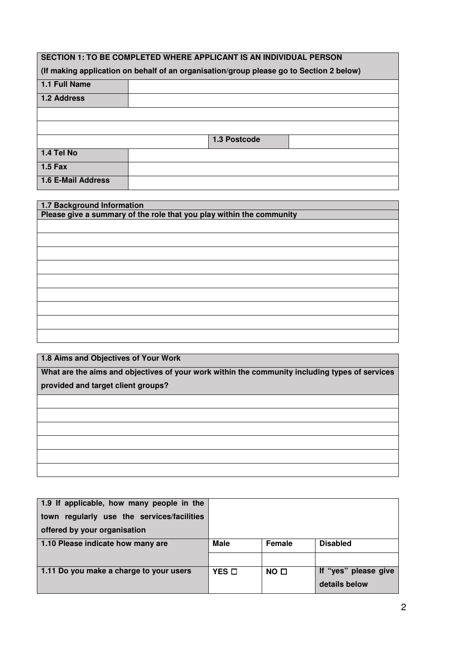| <b>SECTION 1: TO BE COMPLETED WHERE APPLICANT IS AN INDIVIDUAL PERSON</b> |                                                                                         |  |  |  |  |
|---------------------------------------------------------------------------|-----------------------------------------------------------------------------------------|--|--|--|--|
|                                                                           | (If making application on behalf of an organisation/group please go to Section 2 below) |  |  |  |  |
| 1.1 Full Name                                                             |                                                                                         |  |  |  |  |
| 1.2 Address                                                               |                                                                                         |  |  |  |  |
|                                                                           |                                                                                         |  |  |  |  |
|                                                                           |                                                                                         |  |  |  |  |
|                                                                           | 1.3 Postcode                                                                            |  |  |  |  |
| 1.4 Tel No                                                                |                                                                                         |  |  |  |  |
| $1.5$ Fax                                                                 |                                                                                         |  |  |  |  |
| 1.6 E-Mail Address                                                        |                                                                                         |  |  |  |  |

| 1.7 Background Information                                           |
|----------------------------------------------------------------------|
| Please give a summary of the role that you play within the community |
|                                                                      |
|                                                                      |
|                                                                      |
|                                                                      |
|                                                                      |
|                                                                      |
|                                                                      |
|                                                                      |
|                                                                      |
|                                                                      |
|                                                                      |
|                                                                      |
|                                                                      |
|                                                                      |
|                                                                      |
|                                                                      |
|                                                                      |

**1.8 Aims and Objectives of Your Work**

**What are the aims and objectives of your work within the community including types of services provided and target client groups?** 

| 1.9 If applicable, how many people in the     |                 |                 |                      |
|-----------------------------------------------|-----------------|-----------------|----------------------|
| regularly use the services/facilities<br>town |                 |                 |                      |
| offered by your organisation                  |                 |                 |                      |
| 1.10 Please indicate how many are             | <b>Male</b>     | Female          | <b>Disabled</b>      |
|                                               |                 |                 |                      |
| 1.11 Do you make a charge to your users       | $YES$ $\square$ | NO <sub>1</sub> | If "yes" please give |
|                                               |                 |                 | details below        |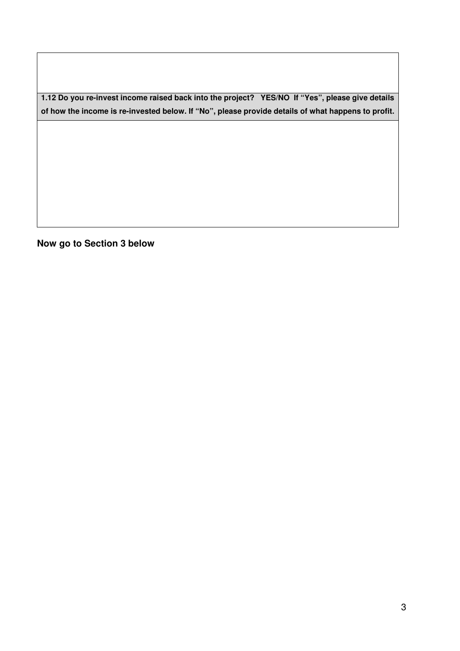**1.12 Do you re-invest income raised back into the project? YES/NO If "Yes", please give details of how the income is re-invested below. If "No", please provide details of what happens to profit.** 

**Now go to Section 3 below**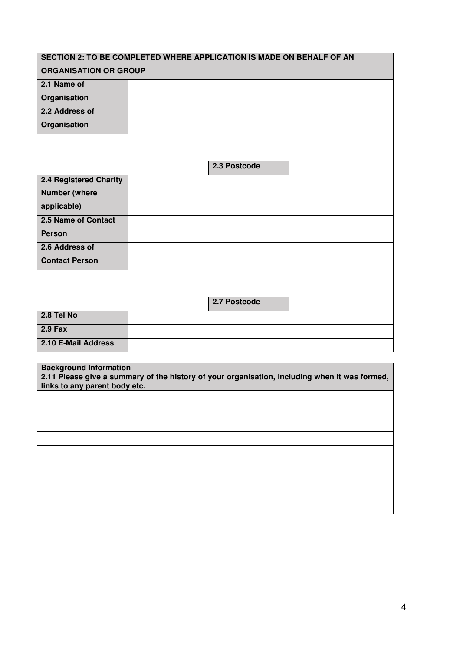| SECTION 2: TO BE COMPLETED WHERE APPLICATION IS MADE ON BEHALF OF AN |              |  |
|----------------------------------------------------------------------|--------------|--|
| <b>ORGANISATION OR GROUP</b>                                         |              |  |
| 2.1 Name of                                                          |              |  |
| Organisation                                                         |              |  |
| 2.2 Address of                                                       |              |  |
| Organisation                                                         |              |  |
|                                                                      |              |  |
|                                                                      |              |  |
|                                                                      | 2.3 Postcode |  |
| 2.4 Registered Charity                                               |              |  |
| <b>Number (where</b>                                                 |              |  |
| applicable)                                                          |              |  |
| 2.5 Name of Contact                                                  |              |  |
| <b>Person</b>                                                        |              |  |
| 2.6 Address of                                                       |              |  |
| <b>Contact Person</b>                                                |              |  |
|                                                                      |              |  |
|                                                                      |              |  |
|                                                                      | 2.7 Postcode |  |
| 2.8 Tel No                                                           |              |  |
| $2.9$ Fax                                                            |              |  |
| 2.10 E-Mail Address                                                  |              |  |
|                                                                      |              |  |
| <b>Background Information</b>                                        |              |  |

**2.11 Please give a summary of the history of your organisation, including when it was formed, links to any parent body etc.**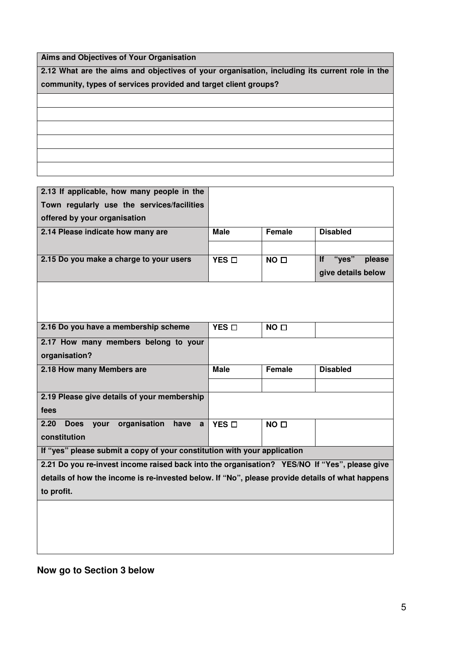**Aims and Objectives of Your Organisation**

**2.12 What are the aims and objectives of your organisation, including its current role in the community, types of services provided and target client groups?** 

| 2.13 If applicable, how many people in the                                                      |                 |                 |                              |
|-------------------------------------------------------------------------------------------------|-----------------|-----------------|------------------------------|
| Town regularly use the services/facilities                                                      |                 |                 |                              |
| offered by your organisation                                                                    |                 |                 |                              |
| 2.14 Please indicate how many are                                                               | <b>Male</b>     | <b>Female</b>   | <b>Disabled</b>              |
|                                                                                                 |                 |                 |                              |
| 2.15 Do you make a charge to your users                                                         | YES O           | NO <sub>D</sub> | "yes"<br><b>If</b><br>please |
|                                                                                                 |                 |                 | give details below           |
|                                                                                                 |                 |                 |                              |
|                                                                                                 |                 |                 |                              |
|                                                                                                 |                 |                 |                              |
| 2.16 Do you have a membership scheme                                                            | $YES$ $\square$ | NO <sub>0</sub> |                              |
| 2.17 How many members belong to your                                                            |                 |                 |                              |
| organisation?                                                                                   |                 |                 |                              |
| 2.18 How many Members are                                                                       | <b>Male</b>     | <b>Female</b>   | <b>Disabled</b>              |
|                                                                                                 |                 |                 |                              |
| 2.19 Please give details of your membership                                                     |                 |                 |                              |
| fees                                                                                            |                 |                 |                              |
| organisation<br>2.20<br><b>Does</b><br>your<br>have<br>$\mathbf{a}$                             | YES D           | NO <sub>0</sub> |                              |
| constitution                                                                                    |                 |                 |                              |
| If "yes" please submit a copy of your constitution with your application                        |                 |                 |                              |
| 2.21 Do you re-invest income raised back into the organisation? YES/NO If "Yes", please give    |                 |                 |                              |
| details of how the income is re-invested below. If "No", please provide details of what happens |                 |                 |                              |
| to profit.                                                                                      |                 |                 |                              |

# **Now go to Section 3 below**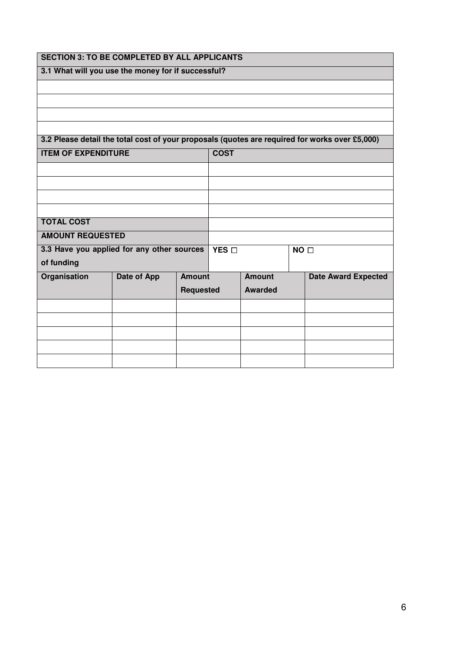| <b>SECTION 3: TO BE COMPLETED BY ALL APPLICANTS</b> |                    |                          |  |                |  |                                                                                                |
|-----------------------------------------------------|--------------------|--------------------------|--|----------------|--|------------------------------------------------------------------------------------------------|
| 3.1 What will you use the money for if successful?  |                    |                          |  |                |  |                                                                                                |
|                                                     |                    |                          |  |                |  |                                                                                                |
|                                                     |                    |                          |  |                |  |                                                                                                |
|                                                     |                    |                          |  |                |  |                                                                                                |
|                                                     |                    |                          |  |                |  |                                                                                                |
|                                                     |                    |                          |  |                |  | 3.2 Please detail the total cost of your proposals (quotes are required for works over £5,000) |
| <b>ITEM OF EXPENDITURE</b>                          |                    | <b>COST</b>              |  |                |  |                                                                                                |
|                                                     |                    |                          |  |                |  |                                                                                                |
|                                                     |                    |                          |  |                |  |                                                                                                |
|                                                     |                    |                          |  |                |  |                                                                                                |
|                                                     |                    |                          |  |                |  |                                                                                                |
| <b>TOTAL COST</b>                                   |                    |                          |  |                |  |                                                                                                |
| <b>AMOUNT REQUESTED</b>                             |                    |                          |  |                |  |                                                                                                |
| 3.3 Have you applied for any other sources          |                    | YES D<br>NO <sub>D</sub> |  |                |  |                                                                                                |
| of funding                                          |                    |                          |  |                |  |                                                                                                |
| Organisation                                        | <b>Date of App</b> | <b>Amount</b>            |  | <b>Amount</b>  |  | <b>Date Award Expected</b>                                                                     |
|                                                     |                    | <b>Requested</b>         |  | <b>Awarded</b> |  |                                                                                                |
|                                                     |                    |                          |  |                |  |                                                                                                |
|                                                     |                    |                          |  |                |  |                                                                                                |
|                                                     |                    |                          |  |                |  |                                                                                                |
|                                                     |                    |                          |  |                |  |                                                                                                |
|                                                     |                    |                          |  |                |  |                                                                                                |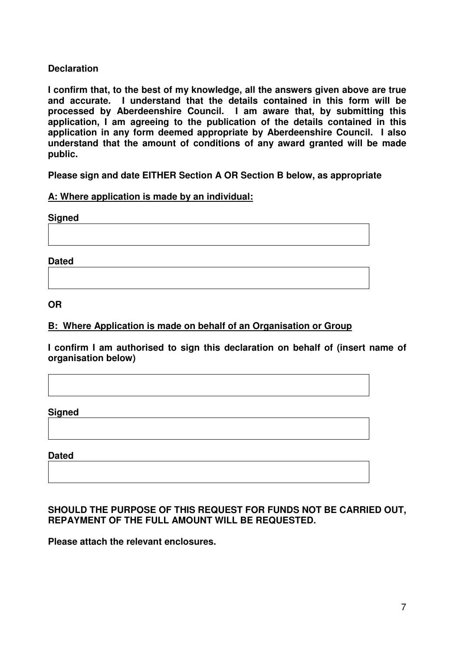## **Declaration**

**I confirm that, to the best of my knowledge, all the answers given above are true and accurate. I understand that the details contained in this form will be processed by Aberdeenshire Council. I am aware that, by submitting this application, I am agreeing to the publication of the details contained in this application in any form deemed appropriate by Aberdeenshire Council. I also understand that the amount of conditions of any award granted will be made public.** 

**Please sign and date EITHER Section A OR Section B below, as appropriate** 

#### **A: Where application is made by an individual:**

**Signed** 

**Dated** 

**OR** 

## **B: Where Application is made on behalf of an Organisation or Group**

**I confirm I am authorised to sign this declaration on behalf of (insert name of organisation below)** 

**Signed** 

**Dated** 

## **SHOULD THE PURPOSE OF THIS REQUEST FOR FUNDS NOT BE CARRIED OUT, REPAYMENT OF THE FULL AMOUNT WILL BE REQUESTED.**

**Please attach the relevant enclosures.**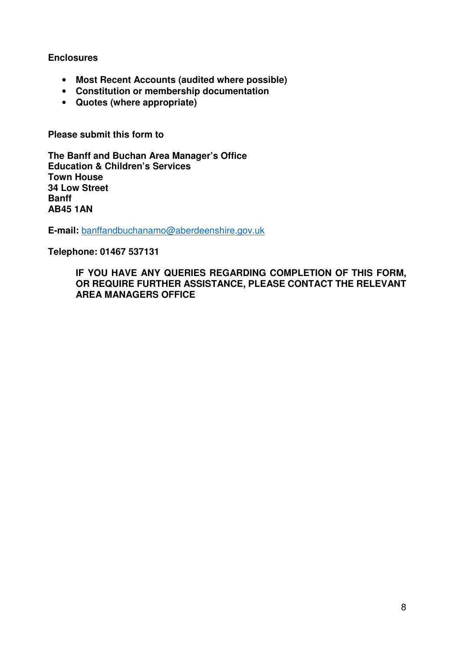#### **Enclosures**

- **Most Recent Accounts (audited where possible)**
- **Constitution or membership documentation**
- **Quotes (where appropriate)**

**Please submit this form to** 

**The Banff and Buchan Area Manager's Office Education & Children's Services Town House 34 Low Street Banff AB45 1AN** 

**E-mail:** banffandbuchanamo@aberdeenshire.gov.uk

**Telephone: 01467 537131** 

**IF YOU HAVE ANY QUERIES REGARDING COMPLETION OF THIS FORM, OR REQUIRE FURTHER ASSISTANCE, PLEASE CONTACT THE RELEVANT AREA MANAGERS OFFICE**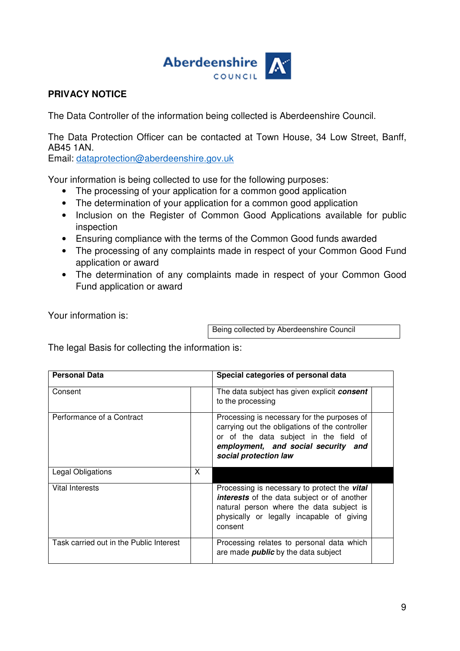

# **PRIVACY NOTICE**

The Data Controller of the information being collected is Aberdeenshire Council.

The Data Protection Officer can be contacted at Town House, 34 Low Street, Banff, AB45 1AN.

Email: dataprotection@aberdeenshire.gov.uk

Your information is being collected to use for the following purposes:

- The processing of your application for a common good application
- The determination of your application for a common good application
- Inclusion on the Register of Common Good Applications available for public inspection
- Ensuring compliance with the terms of the Common Good funds awarded
- The processing of any complaints made in respect of your Common Good Fund application or award
- The determination of any complaints made in respect of your Common Good Fund application or award

Your information is:

Being collected by Aberdeenshire Council

The legal Basis for collecting the information is:

| <b>Personal Data</b>                    |   | Special categories of personal data                                                                                                                                                                           |
|-----------------------------------------|---|---------------------------------------------------------------------------------------------------------------------------------------------------------------------------------------------------------------|
| Consent                                 |   | The data subject has given explicit <b>consent</b><br>to the processing                                                                                                                                       |
| Performance of a Contract               |   | Processing is necessary for the purposes of<br>carrying out the obligations of the controller<br>or of the data subject in the field of<br>employment, and social security and<br>social protection law       |
| Legal Obligations                       | X |                                                                                                                                                                                                               |
| Vital Interests                         |   | Processing is necessary to protect the <b>vital</b><br><b>interests</b> of the data subject or of another<br>natural person where the data subject is<br>physically or legally incapable of giving<br>consent |
| Task carried out in the Public Interest |   | Processing relates to personal data which<br>are made <i>public</i> by the data subject                                                                                                                       |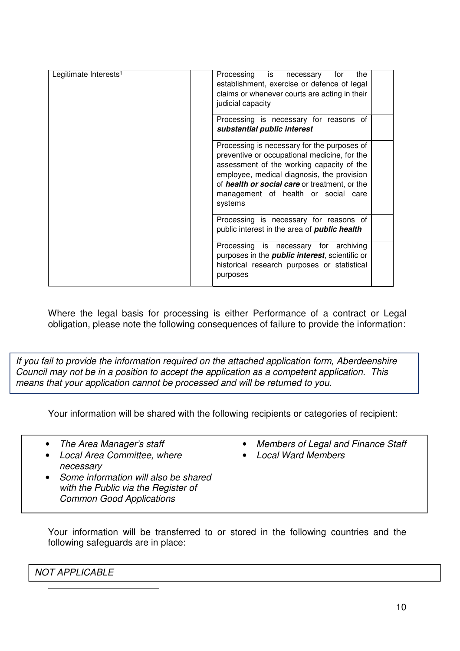| Legitimate Interests <sup>1</sup> | Processing is necessary<br>for<br>the<br>establishment, exercise or defence of legal<br>claims or whenever courts are acting in their<br>judicial capacity                                                                                                                                |  |
|-----------------------------------|-------------------------------------------------------------------------------------------------------------------------------------------------------------------------------------------------------------------------------------------------------------------------------------------|--|
|                                   | Processing is necessary for reasons of<br>substantial public interest                                                                                                                                                                                                                     |  |
|                                   | Processing is necessary for the purposes of<br>preventive or occupational medicine, for the<br>assessment of the working capacity of the<br>employee, medical diagnosis, the provision<br>of health or social care or treatment, or the<br>management of health or social care<br>systems |  |
|                                   | Processing is necessary for reasons of<br>public interest in the area of <b>public health</b>                                                                                                                                                                                             |  |
|                                   | Processing is necessary for archiving<br>purposes in the <i>public interest</i> , scientific or<br>historical research purposes or statistical<br>purposes                                                                                                                                |  |

Where the legal basis for processing is either Performance of a contract or Legal obligation, please note the following consequences of failure to provide the information:

If you fail to provide the information required on the attached application form, Aberdeenshire Council may not be in a position to accept the application as a competent application. This means that your application cannot be processed and will be returned to you.

Your information will be shared with the following recipients or categories of recipient:

• The Area Manager's staff

• Local Area Committee, where

- Members of Legal and Finance Staff
- Local Ward Members
- necessary • Some information will also be shared with the Public via the Register of
- Common Good Applications
- Your information will be transferred to or stored in the following countries and the following safeguards are in place:

NOT APPLICABLE

 $\overline{a}$